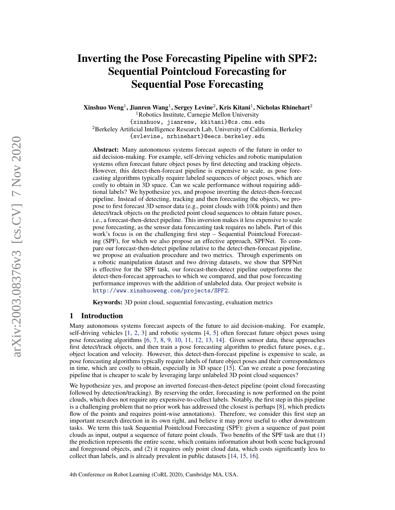# Inverting the Pose Forecasting Pipeline with SPF2: Sequential Pointcloud Forecasting for Sequential Pose Forecasting

Xinshuo Weng $^1$ , Jianren Wang $^1$ , Sergey Levine $^2$ , Kris Kitani $^1$ , Nicholas Rhinehart $^2$ 

<sup>1</sup>Robotics Institute, Carnegie Mellon University

{xinshuow, jianrenw, kkitani}@cs.cmu.edu <sup>2</sup>Berkeley Artificial Intelligence Research Lab, University of California, Berkeley {svlevine, nrhinehart}@eecs.berkeley.edu

Abstract: Many autonomous systems forecast aspects of the future in order to aid decision-making. For example, self-driving vehicles and robotic manipulation systems often forecast future object poses by first detecting and tracking objects. However, this detect-then-forecast pipeline is expensive to scale, as pose forecasting algorithms typically require labeled sequences of object poses, which are costly to obtain in 3D space. Can we scale performance without requiring additional labels? We hypothesize yes, and propose inverting the detect-then-forecast pipeline. Instead of detecting, tracking and then forecasting the objects, we propose to first forecast 3D sensor data (e.g., point clouds with 100k points) and then detect/track objects on the predicted point cloud sequences to obtain future poses, i.e., a forecast-then-detect pipeline. This inversion makes it less expensive to scale pose forecasting, as the sensor data forecasting task requires no labels. Part of this work's focus is on the challenging first step – Sequential Pointcloud Forecasting (SPF), for which we also propose an effective approach, SPFNet. To compare our forecast-then-detect pipeline relative to the detect-then-forecast pipeline, we propose an evaluation procedure and two metrics. Through experiments on a robotic manipulation dataset and two driving datasets, we show that SPFNet is effective for the SPF task, our forecast-then-detect pipeline outperforms the detect-then-forecast approaches to which we compared, and that pose forecasting performance improves with the addition of unlabeled data. Our project website is http://www.xinshuoweng.com/projects/SPF2.

Keywords: 3D point cloud, sequential forecasting, evaluation metrics

# 1 Introduction

Many autonomous systems forecast aspects of the future to aid decision-making. For example, self-driving vehicles [1, 2, 3] and robotic systems [4, 5] often forecast future object poses using pose forecasting algorithms [6, 7, 8, 9, 10, 11, 12, 13, 14]. Given sensor data, these approaches first detect/track objects, and then train a pose forecasting algorithm to predict future poses, e.g., object location and velocity. However, this detect-then-forecast pipeline is expensive to scale, as pose forecasting algorithms typically require labels of future object poses and their correspondences in time, which are costly to obtain, especially in 3D space [15]. Can we create a pose forecasting pipeline that is cheaper to scale by leveraging large unlabeled 3D point cloud sequences?

We hypothesize yes, and propose an inverted forecast-then-detect pipeline (point cloud forecasting followed by detection/tracking). By reserving the order, forecasting is now performed on the point clouds, which does not require any expensive-to-collect labels. Notably, the first step in this pipeline is a challenging problem that no prior work has addressed (the closest is perhaps [8], which predicts flow of the points and requires point-wise annotations). Therefore, we consider this first step an important research direction in its own right, and believe it may prove useful to other downstream tasks. We term this task Sequential Pointcloud Forecasting (SPF): given a sequence of past point clouds as input, output a sequence of future point clouds. Two benefits of the SPF task are that (1) the prediction represents the entire scene, which contains information about both scene background and foreground objects, and (2) it requires only point cloud data, which costs significantly less to collect than labels, and is already prevalent in public datasets [14, 15, 16].

4th Conference on Robot Learning (CoRL 2020), Cambridge MA, USA.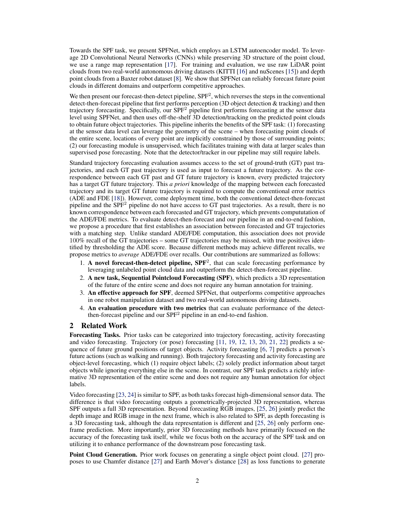Towards the SPF task, we present SPFNet, which employs an LSTM autoencoder model. To leverage 2D Convolutional Neural Networks (CNNs) while preserving 3D structure of the point cloud, we use a range map representation [17]. For training and evaluation, we use raw LiDAR point clouds from two real-world autonomous driving datasets (KITTI [16] and nuScenes [15]) and depth point clouds from a Baxter robot dataset [8]. We show that SPFNet can reliably forecast future point clouds in different domains and outperform competitive approaches.

We then present our forecast-then-detect pipeline, SPF<sup>2</sup>, which reverses the steps in the conventional detect-then-forecast pipeline that first performs perception (3D object detection & tracking) and then trajectory forecasting. Specifically, our SPF<sup>2</sup> pipeline first performs forecasting at the sensor data level using SPFNet, and then uses off-the-shelf 3D detection/tracking on the predicted point clouds to obtain future object trajectories. This pipeline inherits the benefits of the SPF task: (1) forecasting at the sensor data level can leverage the geometry of the scene – when forecasting point clouds of the entire scene, locations of every point are implicitly constrained by those of surrounding points; (2) our forecasting module is unsupervised, which facilitates training with data at larger scales than supervised pose forecasting. Note that the detector/tracker in our pipeline may still require labels.

Standard trajectory forecasting evaluation assumes access to the set of ground-truth (GT) past trajectories, and each GT past trajectory is used as input to forecast a future trajectory. As the correspondence between each GT past and GT future trajectory is known, every predicted trajectory has a target GT future trajectory. This *a priori* knowledge of the mapping between each forecasted trajectory and its target GT future trajectory is required to compute the conventional error metrics (ADE and FDE [18]). However, come deployment time, both the conventional detect-then-forecast pipeline and the  $SPF<sup>2</sup>$  pipeline do not have access to GT past trajectories. As a result, there is no known correspondence between each forecasted and GT trajectory, which prevents compututation of the ADE/FDE metrics. To evaluate detect-then-forecast and our pipeline in an end-to-end fashion, we propose a procedure that first establishes an association between forecasted and GT trajectories with a matching step. Unlike standard ADE/FDE computation, this association does not provide 100% recall of the GT trajectories – some GT trajectories may be missed, with true positives identified by thresholding the ADE score. Because different methods may achieve different recalls, we propose metrics to *average* ADE/FDE over recalls. Our contributions are summarized as follows:

- 1. A novel forecast-then-detect pipeline,  $SPF<sup>2</sup>$ , that can scale forecasting performance by leveraging unlabeled point cloud data and outperform the detect-then-forecast pipeline.
- 2. A new task, Sequential Pointcloud Forecasting (SPF), which predicts a 3D representation of the future of the entire scene and does not require any human annotation for training.
- 3. An effective approach for SPF, deemed SPFNet, that outperforms competitive approaches in one robot manipulation dataset and two real-world autonomous driving datasets.
- 4. An evaluation procedure with two metrics that can evaluate performance of the detectthen-forecast pipeline and our SPF<sup>2</sup> pipeline in an end-to-end fashion.

# 2 Related Work

Forecasting Tasks. Prior tasks can be categorized into trajectory forecasting, activity forecasting and video forecasting. Trajectory (or pose) forecasting [11, 19, 12, 13, 20, 21, 22] predicts a sequence of future ground positions of target objects. Activity forecasting [6, 7] predicts a person's future actions (such as walking and running). Both trajectory forecasting and activity forecasting are object-level forecasting, which (1) require object labels; (2) solely predict information about target objects while ignoring everything else in the scene. In contrast, our SPF task predicts a richly informative 3D representation of the entire scene and does not require any human annotation for object labels.

Video forecasting [23, 24] is similar to SPF, as both tasks forecast high-dimensional sensor data. The difference is that video forecasting outputs a geometrically-projected 3D representation, whereas SPF outputs a full 3D representation. Beyond forecasting RGB images, [25, 26] jointly predict the depth image and RGB image in the next frame, which is also related to SPF, as depth forecasting is a 3D forecasting task, although the data representation is different and [25, 26] only perform oneframe prediction. More importantly, prior 3D forecasting methods have primarily focused on the accuracy of the forecasting task itself, while we focus both on the accuracy of the SPF task and on utilizing it to enhance performance of the downstream pose forecasting task.

Point Cloud Generation. Prior work focuses on generating a single object point cloud. [27] proposes to use Chamfer distance [27] and Earth Mover's distance [28] as loss functions to generate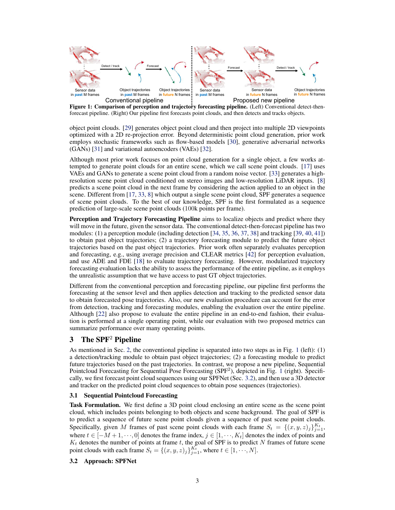

Figure 1: Comparison of perception and trajectory forecasting pipeline. (Left) Conventional detect-thenforecast pipeline. (Right) Our pipeline first forecasts point clouds, and then detects and tracks objects.

object point clouds. [29] generates object point cloud and then project into multiple 2D viewpoints optimized with a 2D re-projection error. Beyond deterministic point cloud generation, prior work employs stochastic frameworks such as flow-based models [30], generative adversarial networks (GANs) [31] and variational autoencoders (VAEs) [32].

Although most prior work focuses on point cloud generation for a single object, a few works attempted to generate point clouds for an entire scene, which we call scene point clouds. [17] uses VAEs and GANs to generate a scene point cloud from a random noise vector. [33] generates a highresolution scene point cloud conditioned on stereo images and low-resolution LiDAR inputs. [8] predicts a scene point cloud in the next frame by considering the action applied to an object in the scene. Different from [17, 33, 8] which output a single scene point cloud, SPF generates a sequence of scene point clouds. To the best of our knowledge, SPF is the first formulated as a sequence prediction of large-scale scene point clouds (100k points per frame).

Perception and Trajectory Forecasting Pipeline aims to localize objects and predict where they will move in the future, given the sensor data. The conventional detect-then-forecast pipeline has two modules: (1) a perception module (including detection [34, 35, 36, 37, 38] and tracking [39, 40, 41]) to obtain past object trajectories; (2) a trajectory forecasting module to predict the future object trajectories based on the past object trajectories. Prior work often separately evaluates perception and forecasting, e.g., using average precision and CLEAR metrics [42] for perception evaluation, and use ADE and FDE [18] to evaluate trajectory forecasting. However, modularized trajectory forecasting evaluation lacks the ability to assess the performance of the entire pipeline, as it employs the unrealistic assumption that we have access to past GT object trajectories.

Different from the conventional perception and forecasting pipeline, our pipeline first performs the forecasting at the sensor level and then applies detection and tracking to the predicted sensor data to obtain forecasted pose trajectories. Also, our new evaluation procedure can account for the error from detection, tracking and forecasting modules, enabling the evaluation over the entire pipeline. Although [22] also propose to evaluate the entire pipeline in an end-to-end fashion, their evaluation is performed at a single operating point, while our evaluation with two proposed metrics can summarize performance over many operating points.

# 3 The  $SPF<sup>2</sup>$  Pipeline

As mentioned in Sec. 2, the conventional pipeline is separated into two steps as in Fig. 1 (left): (1) a detection/tracking module to obtain past object trajectories; (2) a forecasting module to predict future trajectories based on the past trajectories. In contrast, we propose a new pipeline, Sequential Pointcloud Forecasting for Sequential Pose Forecasting (SPF<sup>2</sup>), depicted in Fig. 1 (right). Specifically, we first forecast point cloud sequences using our SPFNet (Sec. 3.2), and then use a 3D detector and tracker on the predicted point cloud sequences to obtain pose sequences (trajectories).

#### 3.1 Sequential Pointcloud Forecasting

Task Formulation. We first define a 3D point cloud enclosing an entire scene as the scene point cloud, which includes points belonging to both objects and scene background. The goal of SPF is to predict a sequence of future scene point clouds given a sequence of past scene point clouds. Specifically, given M frames of past scene point clouds with each frame  $S_t = \{(x, y, z)_j\}_{j=1}^{K_t}$ , where  $t \in [-M+1, \dots, 0]$  denotes the frame index,  $j \in [1, \dots, K_t]$  denotes the index of points and  $K_t$  denotes the number of points at frame t, the goal of SPF is to predict N frames of future scene point clouds with each frame  $S_t = \{(x, y, z)_j\}_{j=1}^{K_t}$ , where  $t \in [1, \dots, N]$ .

#### 3.2 Approach: SPFNet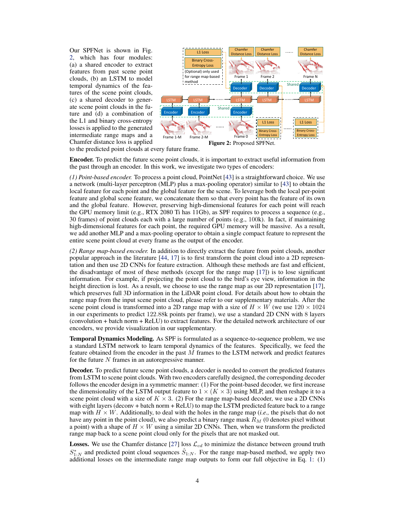Our SPFNet is shown in Fig. 2, which has four modules: (a) a shared encoder to extract features from past scene point clouds, (b) an LSTM to model temporal dynamics of the features of the scene point clouds, (c) a shared decoder to generate scene point clouds in the future and (d) a combination of the L1 and binary cross-entropy losses is applied to the generated intermediate range maps and a Chamfer distance loss is applied



to the predicted point clouds at every future frame.

Encoder. To predict the future scene point clouds, it is important to extract useful information from the past through an encoder. In this work, we investigate two types of encoders:

*(1) Point-based encoder.* To process a point cloud, PointNet [43] is a straightforward choice. We use a network (multi-layer perceptron (MLP) plus a max-pooling operator) similar to [43] to obtain the local feature for each point and the global feature for the scene. To leverage both the local per-point feature and global scene feature, we concatenate them so that every point has the feature of its own and the global feature. However, preserving high-dimensional features for each point will reach the GPU memory limit (e.g., RTX 2080 Ti has 11Gb), as SPF requires to process a sequence (e.g., 30 frames) of point clouds each with a large number of points (e.g., 100k). In fact, if maintaining high-dimensional features for each point, the required GPU memory will be massive. As a result, we add another MLP and a max-pooling operator to obtain a single compact feature to represent the entire scene point cloud at every frame as the output of the encoder.

*(2) Range map-based encoder.* In addition to directly extract the feature from point clouds, another popular approach in the literature [44, 17] is to first transform the point cloud into a 2D representation and then use 2D CNNs for feature extraction. Although these methods are fast and efficient, the disadvantage of most of these methods (except for the range map [17]) is to lose significant information. For example, if projecting the point cloud to the bird's eye view, information in the height direction is lost. As a result, we choose to use the range map as our 2D representation [17], which preserves full 3D information in the LiDAR point cloud. For details about how to obtain the range map from the input scene point cloud, please refer to our supplementary materials. After the scene point cloud is transformed into a 2D range map with a size of  $H \times W$  (we use  $120 \times 1024$ in our experiments to predict 122.88k points per frame), we use a standard 2D CNN with 8 layers (convolution + batch norm + ReLU) to extract features. For the detailed network architecture of our encoders, we provide visualization in our supplementary.

Temporal Dynamics Modeling. As SPF is formulated as a sequence-to-sequence problem, we use a standard LSTM network to learn temporal dynamics of the features. Specifically, we feed the feature obtained from the encoder in the past M frames to the LSTM network and predict features for the future  $N$  frames in an autoregressive manner.

Decoder. To predict future scene point clouds, a decoder is needed to convert the predicted features from LSTM to scene point clouds. With two encoders carefully designed, the corresponding decoder follows the encoder design in a symmetric manner: (1) For the point-based decoder, we first increase the dimensionality of the LSTM output feature to  $1 \times (K \times 3)$  using MLP, and then reshape it to a scene point cloud with a size of  $K \times 3$ . (2) For the range map-based decoder, we use a 2D CNNs with eight layers (deconv + batch norm + ReLU) to map the LSTM predicted feature back to a range map with  $H \times W$ . Additionally, to deal with the holes in the range map (*i.e.*, the pixels that do not have any point in the point cloud), we also predict a binary range mask  $R_M$  (0 denotes pixel without a point) with a shape of  $H \times W$  using a similar 2D CNNs. Then, when we transform the predicted range map back to a scene point cloud only for the pixels that are not masked out.

**Losses.** We use the Chamfer distance [27] loss  $\mathcal{L}_{cd}$  to minimize the distance between ground truth  $S_{1:N}^*$  and predicted point cloud sequences  $\hat{S}_{1:N}$ . For the range map-based method, we apply two additional losses on the intermediate range map outputs to form our full objective in Eq. 1: (1)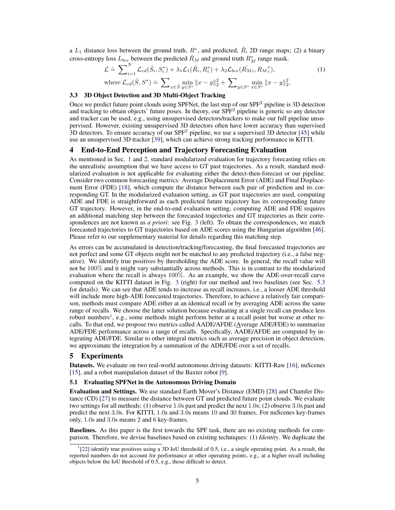a  $L_1$  distance loss between the ground truth,  $R^*$ , and predicted,  $\hat{R}$ , 2D range maps; (2) a binary cross-entropy loss  $L_{bce}$  between the predicted  $\hat{R}_M$  and ground truth  $R_M^*$  range mask.

$$
\mathcal{L} \doteq \sum_{i=1}^{N} \mathcal{L}_{cd}(\hat{S}_i, S_i^*) + \lambda_1 \mathcal{L}_1(\hat{R}_i, R_i^*) + \lambda_2 \mathcal{L}_{bce}(\hat{R}_{Mi}, R_{Mi}^*),
$$
\n(1)  
\nwhere  $\mathcal{L}_{cd}(\hat{S}, S^*) \doteq \sum_{x \in \hat{S}} \min_{y \in S^*} ||x - y||_2^2 + \sum_{y \in S^*} \min_{x \in S^*} ||x - y||_2^2,$ 

# 3.3 3D Object Detection and 3D Multi-Object Tracking

Once we predict future point clouds using SPFNet, the last step of our SPF<sup>2</sup> pipeline is 3D detection and tracking to obtain objects' future poses. In theory, our SPF<sup>2</sup> pipeline is generic so any detector and tracker can be used, e.g., using unsupervised detectors/trackers to make our full pipeline unsupervised. However, existing unsupervised 3D detectors often have lower accuracy than supervised  $3D$  detectors. To ensure accuracy of our SPF<sup>2</sup> pipeline, we use a supervised 3D detector [45] while use an unsupervised 3D tracker [39], which can achieve strong tracking performance in KITTI.

# 4 End-to-End Perception and Trajectory Forecasting Evaluation

As mentioned in Sec. 1 and 2, standard modularized evaluation for trajectory forecasting relies on the unrealistic assumption that we have access to GT past trajectories. As a result, standard modularized evaluation is not applicable for evaluating either the detect-then-forecast or our pipeline. Consider two common forecasting metrics: Average Displacement Error (ADE) and Final Displacement Error (FDE) [18], which compute the distance between each pair of prediction and its corresponding GT. In the modularized evaluation setting, as GT past trajectories are used, computing ADE and FDE is straightforward as each predicted future trajectory has its corresponding future GT trajectory. However, in the end-to-end evaluation setting, computing ADE and FDE requires an additional matching step between the forecasted trajectories and GT trajectories as their correspondences are not known as *a priori*: see Fig. 3 (left). To obtain the correspondences, we match forecasted trajectories to GT trajectories based on ADE scores using the Hungarian algorithm [46]. Please refer to our supplementary material for details regarding this matching step.

As errors can be accumulated in detection/tracking/forecasting, the final forecasted trajectories are not perfect and some GT objects might not be matched to any predicted trajectory (i.e., a false negative). We identify true positives by thresholding the ADE score. In general, the recall value will not be 100% and it might vary substantially across methods. This is in contrast to the modularized evaluation where the recall is always 100%. As an example, we show the ADE-over-recall curve computed on the KITTI dataset in Fig. 3 (right) for our method and two baselines (see Sec. 5.3 for details). We can see that ADE tends to increase as recall increases, i.e., a looser ADE threshold will include more high-ADE forecasted trajectories. Therefore, to achieve a relatively fair comparison, methods must compare ADE either at an identical recall or by averaging ADE across the same range of recalls. We choose the latter solution because evaluating at a single recall can produce less robust numbers<sup>1</sup>, e.g., some methods might perform better at a recall point but worse at other recalls. To that end, we propose two metrics called AADE/AFDE (Average ADE/FDE) to summarize ADE/FDE performance across a range of recalls. Specifically, AADE/AFDE are computed by integrating ADE/FDE. Similar to other integral metrics such as average precision in object detection, we approximate the integration by a summation of the ADE/FDE over a set of recalls.

# 5 Experiments

Datasets. We evaluate on two real-world autonomous driving datasets: KITTI-Raw [16], nuScenes [15], and a robot manipulation dataset of the Baxter robot [9].

#### 5.1 Evaluating SPFNet in the Autonomous Driving Domain

Evaluation and Settings. We use standard Earth Mover's Distance (EMD) [28] and Chamfer Distance (CD) [27] to measure the distance between GT and predicted future point clouds. We evaluate two settings for all methods: (1) observe 1.0s past and predict the next 1.0s; (2) observe 3.0s past and predict the next 3.0s. For KITTI, 1.0s and 3.0s means 10 and 30 frames. For nuScenes key-frames only, 1.0s and 3.0s means 2 and 6 key-frames.

Baselines. As this paper is the first towards the SPF task, there are no existing methods for comparison. Therefore, we devise baselines based on existing techniques: (1) *Identity*. We duplicate the

<sup>&</sup>lt;sup>1</sup>[22] identify true positives using a 3D IoU threshold of 0.5, i.e., a single operating point. As a result, the reported numbers do not account for performance at other operating points, e.g., at a higher recall including objects below the IoU threshold of 0.5, e.g., those difficult to detect.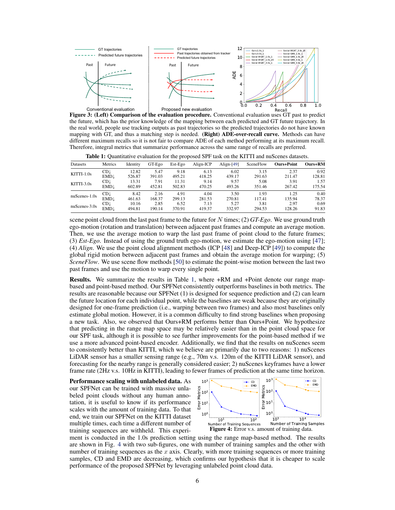

Figure 3: (Left) Comparison of the evaluation procedure. Conventional evaluation uses GT past to predict the future, which has the prior knowledge of the mapping between each predicted and GT future trajectory. In the real world, people use tracking outputs as past trajectories so the predicted trajectories do not have known mapping with GT, and thus a matching step is needed. (Right) ADE-over-recall curve. Methods can have different maximum recalls so it is not fair to compare ADE of each method performing at its maximum recall. Therefore, integral metrics that summarize performance across the same range of recalls are preferred.

Table 1: Quantitative evaluation for the proposed SPF task on the KITTI and nuScenes datasets.

| Datasets        | Metrics         | Identity | GT-Ego | $\sim$<br>Est-Ego | Align-ICP | Align- $[49]$ | SceneFlow | <b>Ours+Point</b> | Ours+RM |
|-----------------|-----------------|----------|--------|-------------------|-----------|---------------|-----------|-------------------|---------|
| $KITTI-1.0s$    | $CD \downarrow$ | 12.82    | 5.47   | 9.18              | 6.13      | 6.02          | 3.15      | 2.37              | 0.92    |
|                 | $EMD\downarrow$ | 526.87   | 391.03 | 495.21            | 418.25    | 439.17        | 291.63    | 211.47            | 128.81  |
| $KITTI-3.0s$    | $CD \downarrow$ | 13.31    | 7.91   | 11.31             | 9.14      | 9.57          | 5.08      | 3.91              | 1.57    |
|                 | <b>EMD</b> .    | 602.89   | 452.81 | 502.83            | 470.25    | 493.26        | 351.46    | 267.42            | 175.54  |
| $nuScenes-1.0s$ | <b>CD</b> .     | 8.42     | 2.16   | 4.91              | 4.04      | 3.50          | 1.93      | 1.25              | 0.40    |
|                 | <b>EMD</b> .    | 461.63   | 168.37 | 299.13            | 281.53    | 270.81        | 117.41    | 135.94            | 78.37   |
| $nuScenes-3.0s$ | $CD\downarrow$  | 10.16    | 2.85   | 6.52              | 7.13      | 5.27          | 3.81      | 2.97              | 0.69    |
|                 | <b>EMD</b> .    | 494.81   | 190.14 | 370.91            | 419.37    | 332.97        | 294.53    | 128.26            | 91.83   |

scene point cloud from the last past frame to the future for N times; (2) *GT-Ego*. We use ground truth ego-motion (rotation and translation) between adjacent past frames and compute an average motion. Then, we use the average motion to warp the last past frame of point cloud to the future frames; (3) *Est-Ego*. Instead of using the ground truth ego-motion, we estimate the ego-motion using [47]; (4) *Align*. We use the point cloud alignment methods (ICP [48] and Deep-ICP [49]) to compute the global rigid motion between adjacent past frames and obtain the average motion for warping; (5) *SceneFlow.* We use scene flow methods [50] to estimate the point-wise motion between the last two past frames and use the motion to warp every single point.

Results. We summarize the results in Table 1, where +RM and +Point denote our range mapbased and point-based method. Our SPFNet consistently outperforms baselines in both metrics. The results are reasonable because our SPFNet (1) is designed for sequence prediction and (2) can learn the future location for each individual point, while the baselines are weak because they are originally designed for one-frame prediction (i.e., warping between two frames) and also most baselines only estimate global motion. However, it is a common difficulty to find strong baselines when proposing a new task. Also, we observed that Ours+RM performs better than Ours+Point. We hypothesize that predicting in the range map space may be relatively easier than in the point cloud space for our SPF task, although it is possible to see further improvements for the point-based method if we use a more advanced point-based encoder. Additionally, we find that the results on nuScenes seem to consistently better than KITTI, which we believe are primarily due to two reasons: 1) nuScenes LiDAR sensor has a smaller sensing range (e.g., 70m v.s. 120m of the KITTI LiDAR sensor), and forecasting for the nearby range is generally considered easier; 2) nuScenes keyframes have a lower frame rate (2Hz v.s. 10Hz in KITTI), leading to fewer frames of prediction at the same time horizon.





ment is conducted in the 1.0s prediction setting using the range map-based method. The results are shown in Fig. 4 with two sub-figures, one with number of training samples and the other with number of training sequences as the  $x$  axis. Clearly, with more training sequences or more training samples, CD and EMD are decreasing, which confirms our hypothesis that it is cheaper to scale performance of the proposed SPFNet by leveraging unlabeled point cloud data.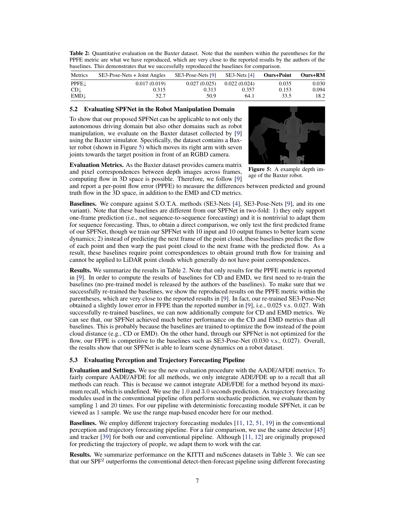Table 2: Quantitative evaluation on the Baxter dataset. Note that the numbers within the parentheses for the PPFE metric are what we have reproduced, which are very close to the reported results by the authors of the baselines. This demonstrates that we successfully reproduced the baselines for comparison.

| Metrics         | SE3-Pose-Nets + Joint Angles | SE3-Pose-Nets [9] | SE3-Nets [4] | <b>Ours+Point</b> | Ours+RM |
|-----------------|------------------------------|-------------------|--------------|-------------------|---------|
| PPFEJ           | 0.017(0.019)                 | 0.027(0.025)      | 0.022(0.024) | 0.035             | 0.030   |
| $CD \downarrow$ | 0.315                        | 0.313             | 0.357        | 0.153             | 0.094   |
| EMD↓            | 52.7                         | 50.9              | 64.1         | 33.5              | 18.2    |

# 5.2 Evaluating SPFNet in the Robot Manipulation Domain

To show that our proposed SPFNet can be applicable to not only the autonomous driving domain but also other domains such as robot manipulation, we evaluate on the Baxter dataset collected by [9] using the Baxter simulator. Specifically, the dataset contains a Baxter robot (shown in Figure 5) which moves its right arm with seven joints towards the target position in front of an RGBD camera.



Figure 5: A example depth im-Evaluation Metrics. As the Baxter dataset provides camera matrix and pixel correspondences between depth images across frames, computing flow in 3D space is possible. Therefore, we follow [9]

age of the Baxter robot.

and report a per-point flow error (PPFE) to measure the differences between predicted and ground truth flow in the 3D space, in addition to the EMD and CD metrics.

Baselines. We compare against S.O.T.A. methods (SE3-Nets [4], SE3-Pose-Nets [9], and its one variant). Note that these baselines are different from our SPFNet in two-fold: 1) they only support one-frame prediction (i.e., not sequence-to-sequence forecasting) and it is nontrivial to adapt them for sequence forecasting. Thus, to obtain a direct comparison, we only test the first predicted frame of our SPFNet, though we train our SPFNet with 10 input and 10 output frames to better learn scene dynamics; 2) instead of predicting the next frame of the point cloud, these baselines predict the flow of each point and then warp the past point cloud to the next frame with the predicted flow. As a result, these baselines require point correspondences to obtain ground truth flow for training and cannot be applied to LiDAR point clouds which generally do not have point correspondences.

Results. We summarize the results in Table 2. Note that only results for the PPFE metric is reported in [9]. In order to compute the results of baselines for CD and EMD, we first need to re-train the baselines (no pre-trained model is released by the authors of the baselines). To make sure that we successfully re-trained the baselines, we show the reproduced results on the PPFE metric within the parentheses, which are very close to the reported results in [9]. In fact, our re-trained SE3-Pose-Net obtained a slightly lower error in FFPE than the reported number in [9], i.e., 0.025 v.s. 0.027. With successfully re-trained baselines, we can now additionally compute for CD and EMD metrics. We can see that, our SPFNet achieved much better performance on the CD and EMD metrics than all baselines. This is probably because the baselines are trained to optimize the flow instead of the point cloud distance (e.g., CD or EMD). On the other hand, through our SPFNet is not optimized for the flow, our FFPE is competitive to the baselines such as SE3-Pose-Net (0.030 v.s., 0.027). Overall, the results show that our SPFNet is able to learn scene dynamics on a robot dataset.

#### 5.3 Evaluating Perception and Trajectory Forecasting Pipeline

Evaluation and Settings. We use the new evaluation procedure with the AADE/AFDE metrics. To fairly compare AADE/AFDE for all methods, we only integrate ADE/FDE up to a recall that all methods can reach. This is because we cannot integrate ADE/FDE for a method beyond its maximum recall, which is undefined. We use the 1.0 and 3.0 seconds prediction. As trajectory forecasting modules used in the conventional pipeline often perform stochastic prediction, we evaluate them by sampling 1 and 20 times. For our pipeline with deterministic forecasting module SPFNet, it can be viewed as 1 sample. We use the range map-based encoder here for our method.

Baselines. We employ different trajectory forecasting modules [11, 12, 51, 19] in the conventional perception and trajectory forecasting pipeline. For a fair comparison, we use the same detector [45] and tracker [39] for both our and conventional pipeline. Although [11, 12] are originally proposed for predicting the trajectory of people, we adapt them to work with the car.

Results. We summarize performance on the KITTI and nuScenes datasets in Table 3. We can see that our SPF<sup>2</sup> outperforms the conventional detect-then-forecast pipeline using different forecasting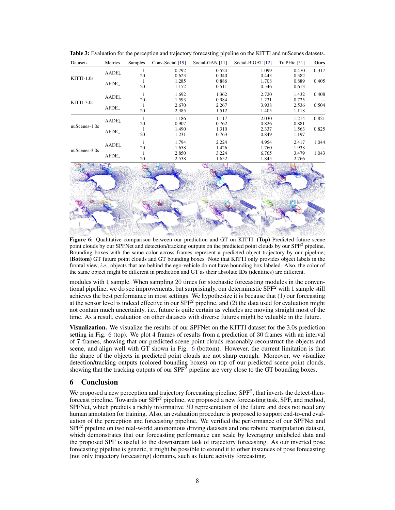| Datasets        | Metrics      | Samples | Conv-Social [19] | Social-GAN [11] | Social-BiGAT [12] | TraPHic [51] | Ours  |
|-----------------|--------------|---------|------------------|-----------------|-------------------|--------------|-------|
| $KITTI-1.0s$    | <b>AADE</b>  |         | 0.792            | 0.524           | 1.099             | 0.470        | 0.317 |
|                 |              | 20      | 0.623            | 0.340           | 0.443             | 0.382        |       |
|                 | AFDEL        |         | 1.285            | 0.886           | 1.708             | 0.889        | 0.405 |
|                 |              | 20      | 1.152            | 0.511           | 0.546             | 0.613        |       |
|                 | <b>AADE.</b> |         | 1.692            | 1.362           | 2.720             | 1.432        | 0.408 |
|                 |              | 20      | 1.593            | 0.984           | 1.231             | 0.725        |       |
| $KITTI-3.0s$    | <b>AFDE</b>  |         | 2.670            | 2.267           | 3.938             | 2.536        | 0.504 |
|                 |              | 20      | 2.385            | 1.512           | 1.405             | 1.118        |       |
| $nuScenes-1.0s$ | <b>AADE</b>  |         | 1.186            | 1.117           | 2.030             | 1.214        | 0.821 |
|                 |              | 20      | 0.907            | 0.762           | 0.826             | 0.881        |       |
|                 | <b>AFDE</b>  |         | 1.490            | 1.310           | 2.337             | 1.563        | 0.825 |
|                 |              | 20      | 1.231            | 0.763           | 0.849             | 1.197        |       |
| $nuScenes-3.0s$ | <b>AADE</b>  |         | 1.794            | 2.224           | 4.954             | 2.417        | 1.044 |
|                 |              | 20      | 1.658            | 1.426           | 1.760             | 1.938        |       |
|                 | <b>AFDE</b>  |         | 2.850            | 3.224           | 6.765             | 3.479        | 1.043 |
|                 |              | 20      | 2.538            | 1.652           | 1.845             | 2.766        |       |

Table 3: Evaluation for the perception and trajectory forecasting pipeline on the KITTI and nuScenes datasets.



Figure 6: Qualitative comparison between our prediction and GT on KITTI. (Top) Predicted future scene point clouds by our SPFNet and detection/tracking outputs on the predicted point clouds by our SPF<sup>2</sup> pipeline. Bounding boxes with the same color across frames represent a predicted object trajectory by our pipeline; (Bottom) GT future point clouds and GT bounding boxes. Note that KITTI only provides object labels in the frontal view, *i.e.*, objects that are behind the ego-vehicle do not have bounding box labeled. Also, the color of the same object might be different in prediction and GT as their absolute IDs (identities) are different.

modules with 1 sample. When sampling 20 times for stochastic forecasting modules in the conventional pipeline, we do see improvements, but surprisingly, our deterministic  $SPF<sup>2</sup>$  with 1 sample still achieves the best performance in most settings. We hypothesize it is because that (1) our forecasting at the sensor level is indeed effective in our SPF<sup>2</sup> pipeline, and (2) the data used for evaluation might not contain much uncertainty, i.e., future is quite certain as vehicles are moving straight most of the time. As a result, evaluation on other datasets with diverse futures might be valuable in the future.

Visualization. We visualize the results of our SPFNet on the KITTI dataset for the 3.0s prediction setting in Fig. 6 (top). We plot 4 frames of results from a prediction of 30 frames with an interval of 7 frames, showing that our predicted scene point clouds reasonably reconstruct the objects and scene, and align well with GT shown in Fig. 6 (bottom). However, the current limitation is that the shape of the objects in predicted point clouds are not sharp enough. Moreover, we visualize detection/tracking outputs (colored bounding boxes) on top of our predicted scene point clouds, showing that the tracking outputs of our  $SPF^2$  pipeline are very close to the GT bounding boxes.

# 6 Conclusion

We proposed a new perception and trajectory forecasting pipeline,  $SPF<sup>2</sup>$ , that inverts the detect-thenforecast pipeline. Towards our  $SPF^2$  pipeline, we proposed a new forecasting task, SPF, and method, SPFNet, which predicts a richly informative 3D representation of the future and does not need any human annotation for training. Also, an evaluation procedure is proposed to support end-to-end evaluation of the perception and forecasting pipeline. We verified the performance of our SPFNet and SPF<sup>2</sup> pipeline on two real-world autonomous driving datasets and one robotic manipulation dataset, which demonstrates that our forecasting performance can scale by leveraging unlabeled data and the proposed SPF is useful to the downstream task of trajectory forecasting. As our inverted pose forecasting pipeline is generic, it might be possible to extend it to other instances of pose forecasting (not only trajectory forecasting) domains, such as future activity forecasting.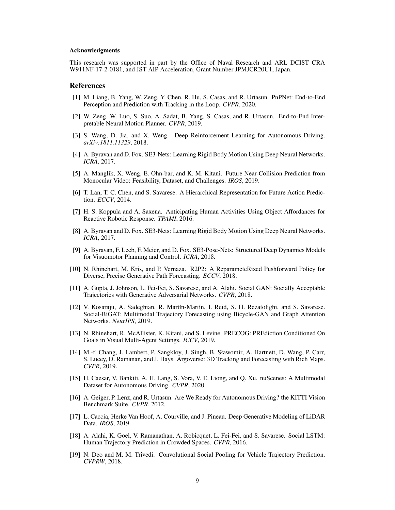#### Acknowledgments

This research was supported in part by the Office of Naval Research and ARL DCIST CRA W911NF-17-2-0181, and JST AIP Acceleration, Grant Number JPMJCR20U1, Japan.

# References

- [1] M. Liang, B. Yang, W. Zeng, Y. Chen, R. Hu, S. Casas, and R. Urtasun. PnPNet: End-to-End Perception and Prediction with Tracking in the Loop. *CVPR*, 2020.
- [2] W. Zeng, W. Luo, S. Suo, A. Sadat, B. Yang, S. Casas, and R. Urtasun. End-to-End Interpretable Neural Motion Planner. *CVPR*, 2019.
- [3] S. Wang, D. Jia, and X. Weng. Deep Reinforcement Learning for Autonomous Driving. *arXiv:1811.11329*, 2018.
- [4] A. Byravan and D. Fox. SE3-Nets: Learning Rigid Body Motion Using Deep Neural Networks. *ICRA*, 2017.
- [5] A. Manglik, X. Weng, E. Ohn-bar, and K. M. Kitani. Future Near-Collision Prediction from Monocular Video: Feasibility, Dataset, and Challenges. *IROS*, 2019.
- [6] T. Lan, T. C. Chen, and S. Savarese. A Hierarchical Representation for Future Action Prediction. *ECCV*, 2014.
- [7] H. S. Koppula and A. Saxena. Anticipating Human Activities Using Object Affordances for Reactive Robotic Response. *TPAMI*, 2016.
- [8] A. Byravan and D. Fox. SE3-Nets: Learning Rigid Body Motion Using Deep Neural Networks. *ICRA*, 2017.
- [9] A. Byravan, F. Leeb, F. Meier, and D. Fox. SE3-Pose-Nets: Structured Deep Dynamics Models for Visuomotor Planning and Control. *ICRA*, 2018.
- [10] N. Rhinehart, M. Kris, and P. Vernaza. R2P2: A ReparameteRized Pushforward Policy for Diverse, Precise Generative Path Forecasting. *ECCV*, 2018.
- [11] A. Gupta, J. Johnson, L. Fei-Fei, S. Savarese, and A. Alahi. Social GAN: Socially Acceptable Trajectories with Generative Adversarial Networks. *CVPR*, 2018.
- [12] V. Kosaraju, A. Sadeghian, R. Martín-Martín, I. Reid, S. H. Rezatofighi, and S. Savarese. Social-BiGAT: Multimodal Trajectory Forecasting using Bicycle-GAN and Graph Attention Networks. *NeurIPS*, 2019.
- [13] N. Rhinehart, R. McAllister, K. Kitani, and S. Levine. PRECOG: PREdiction Conditioned On Goals in Visual Multi-Agent Settings. *ICCV*, 2019.
- [14] M.-f. Chang, J. Lambert, P. Sangkloy, J. Singh, B. Sławomir, A. Hartnett, D. Wang, P. Carr, S. Lucey, D. Ramanan, and J. Hays. Argoverse: 3D Tracking and Forecasting with Rich Maps. *CVPR*, 2019.
- [15] H. Caesar, V. Bankiti, A. H. Lang, S. Vora, V. E. Liong, and Q. Xu. nuScenes: A Multimodal Dataset for Autonomous Driving. *CVPR*, 2020.
- [16] A. Geiger, P. Lenz, and R. Urtasun. Are We Ready for Autonomous Driving? the KITTI Vision Benchmark Suite. *CVPR*, 2012.
- [17] L. Caccia, Herke Van Hoof, A. Courville, and J. Pineau. Deep Generative Modeling of LiDAR Data. *IROS*, 2019.
- [18] A. Alahi, K. Goel, V. Ramanathan, A. Robicquet, L. Fei-Fei, and S. Savarese. Social LSTM: Human Trajectory Prediction in Crowded Spaces. *CVPR*, 2016.
- [19] N. Deo and M. M. Trivedi. Convolutional Social Pooling for Vehicle Trajectory Prediction. *CVPRW*, 2018.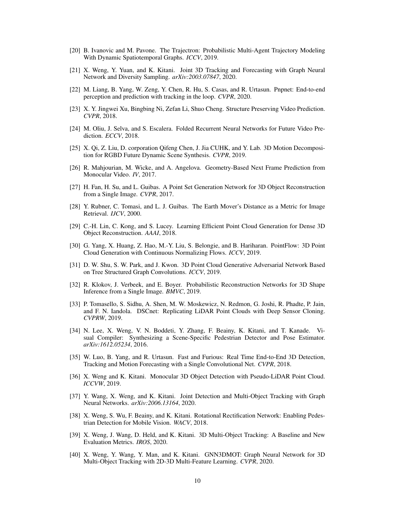- [20] B. Ivanovic and M. Pavone. The Trajectron: Probabilistic Multi-Agent Trajectory Modeling With Dynamic Spatiotemporal Graphs. *ICCV*, 2019.
- [21] X. Weng, Y. Yuan, and K. Kitani. Joint 3D Tracking and Forecasting with Graph Neural Network and Diversity Sampling. *arXiv:2003.07847*, 2020.
- [22] M. Liang, B. Yang, W. Zeng, Y. Chen, R. Hu, S. Casas, and R. Urtasun. Pnpnet: End-to-end perception and prediction with tracking in the loop. *CVPR*, 2020.
- [23] X. Y. Jingwei Xu, Bingbing Ni, Zefan Li, Shuo Cheng. Structure Preserving Video Prediction. *CVPR*, 2018.
- [24] M. Oliu, J. Selva, and S. Escalera. Folded Recurrent Neural Networks for Future Video Prediction. *ECCV*, 2018.
- [25] X. Qi, Z. Liu, D. corporation Qifeng Chen, J. Jia CUHK, and Y. Lab. 3D Motion Decomposition for RGBD Future Dynamic Scene Synthesis. *CVPR*, 2019.
- [26] R. Mahjourian, M. Wicke, and A. Angelova. Geometry-Based Next Frame Prediction from Monocular Video. *IV*, 2017.
- [27] H. Fan, H. Su, and L. Guibas. A Point Set Generation Network for 3D Object Reconstruction from a Single Image. *CVPR*, 2017.
- [28] Y. Rubner, C. Tomasi, and L. J. Guibas. The Earth Mover's Distance as a Metric for Image Retrieval. *IJCV*, 2000.
- [29] C.-H. Lin, C. Kong, and S. Lucey. Learning Efficient Point Cloud Generation for Dense 3D Object Reconstruction. *AAAI*, 2018.
- [30] G. Yang, X. Huang, Z. Hao, M.-Y. Liu, S. Belongie, and B. Hariharan. PointFlow: 3D Point Cloud Generation with Continuous Normalizing Flows. *ICCV*, 2019.
- [31] D. W. Shu, S. W. Park, and J. Kwon. 3D Point Cloud Generative Adversarial Network Based on Tree Structured Graph Convolutions. *ICCV*, 2019.
- [32] R. Klokov, J. Verbeek, and E. Boyer. Probabilistic Reconstruction Networks for 3D Shape Inference from a Single Image. *BMVC*, 2019.
- [33] P. Tomasello, S. Sidhu, A. Shen, M. W. Moskewicz, N. Redmon, G. Joshi, R. Phadte, P. Jain, and F. N. Iandola. DSCnet: Replicating LiDAR Point Clouds with Deep Sensor Cloning. *CVPRW*, 2019.
- [34] N. Lee, X. Weng, V. N. Boddeti, Y. Zhang, F. Beainy, K. Kitani, and T. Kanade. Visual Compiler: Synthesizing a Scene-Specific Pedestrian Detector and Pose Estimator. *arXiv:1612.05234*, 2016.
- [35] W. Luo, B. Yang, and R. Urtasun. Fast and Furious: Real Time End-to-End 3D Detection, Tracking and Motion Forecasting with a Single Convolutional Net. *CVPR*, 2018.
- [36] X. Weng and K. Kitani. Monocular 3D Object Detection with Pseudo-LiDAR Point Cloud. *ICCVW*, 2019.
- [37] Y. Wang, X. Weng, and K. Kitani. Joint Detection and Multi-Object Tracking with Graph Neural Networks. *arXiv:2006.13164*, 2020.
- [38] X. Weng, S. Wu, F. Beainy, and K. Kitani. Rotational Rectification Network: Enabling Pedestrian Detection for Mobile Vision. *WACV*, 2018.
- [39] X. Weng, J. Wang, D. Held, and K. Kitani. 3D Multi-Object Tracking: A Baseline and New Evaluation Metrics. *IROS*, 2020.
- [40] X. Weng, Y. Wang, Y. Man, and K. Kitani. GNN3DMOT: Graph Neural Network for 3D Multi-Object Tracking with 2D-3D Multi-Feature Learning. *CVPR*, 2020.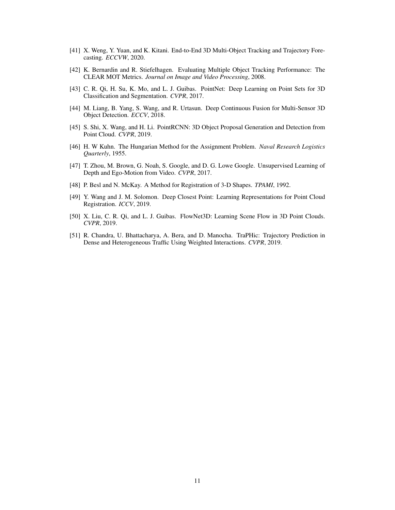- [41] X. Weng, Y. Yuan, and K. Kitani. End-to-End 3D Multi-Object Tracking and Trajectory Forecasting. *ECCVW*, 2020.
- [42] K. Bernardin and R. Stiefelhagen. Evaluating Multiple Object Tracking Performance: The CLEAR MOT Metrics. *Journal on Image and Video Processing*, 2008.
- [43] C. R. Qi, H. Su, K. Mo, and L. J. Guibas. PointNet: Deep Learning on Point Sets for 3D Classification and Segmentation. *CVPR*, 2017.
- [44] M. Liang, B. Yang, S. Wang, and R. Urtasun. Deep Continuous Fusion for Multi-Sensor 3D Object Detection. *ECCV*, 2018.
- [45] S. Shi, X. Wang, and H. Li. PointRCNN: 3D Object Proposal Generation and Detection from Point Cloud. *CVPR*, 2019.
- [46] H. W Kuhn. The Hungarian Method for the Assignment Problem. *Naval Research Logistics Quarterly*, 1955.
- [47] T. Zhou, M. Brown, G. Noah, S. Google, and D. G. Lowe Google. Unsupervised Learning of Depth and Ego-Motion from Video. *CVPR*, 2017.
- [48] P. Besl and N. McKay. A Method for Registration of 3-D Shapes. *TPAMI*, 1992.
- [49] Y. Wang and J. M. Solomon. Deep Closest Point: Learning Representations for Point Cloud Registration. *ICCV*, 2019.
- [50] X. Liu, C. R. Qi, and L. J. Guibas. FlowNet3D: Learning Scene Flow in 3D Point Clouds. *CVPR*, 2019.
- [51] R. Chandra, U. Bhattacharya, A. Bera, and D. Manocha. TraPHic: Trajectory Prediction in Dense and Heterogeneous Traffic Using Weighted Interactions. *CVPR*, 2019.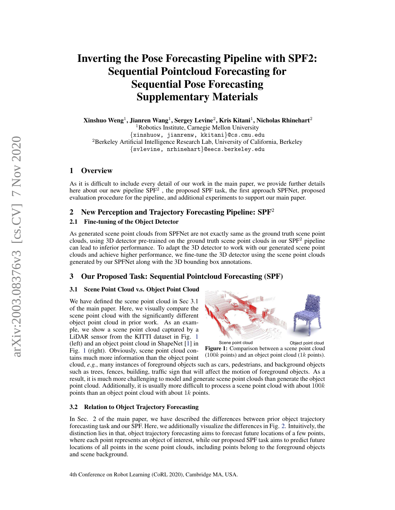# Inverting the Pose Forecasting Pipeline with SPF2: Sequential Pointcloud Forecasting for Sequential Pose Forecasting Supplementary Materials

Xinshuo Weng $^1$ , Jianren Wang $^1$ , Sergey Levine $^2$ , Kris Kitani $^1$ , Nicholas Rhinehart $^2$ <sup>1</sup>Robotics Institute, Carnegie Mellon University {xinshuow, jianrenw, kkitani}@cs.cmu.edu <sup>2</sup>Berkeley Artificial Intelligence Research Lab, University of California, Berkeley {svlevine, nrhinehart}@eecs.berkeley.edu

# 1 Overview

As it is difficult to include every detail of our work in the main paper, we provide further details here about our new pipeline SPF<sup>2</sup>, the proposed SPF task, the first approach SPFNet, proposed evaluation procedure for the pipeline, and additional experiments to support our main paper.

# 2 New Perception and Trajectory Forecasting Pipeline:  $SPF<sup>2</sup>$

# 2.1 Fine-tuning of the Object Detector

As generated scene point clouds from SPFNet are not exactly same as the ground truth scene point clouds, using 3D detector pre-trained on the ground truth scene point clouds in our SPF<sup>2</sup> pipeline can lead to inferior performance. To adapt the 3D detector to work with our generated scene point clouds and achieve higher performance, we fine-tune the 3D detector using the scene point clouds generated by our SPFNet along with the 3D bounding box annotations.

# 3 Our Proposed Task: Sequential Pointcloud Forecasting (SPF)

# 3.1 Scene Point Cloud v.s. Object Point Cloud

We have defined the scene point cloud in Sec 3.1 of the main paper. Here, we visually compare the scene point cloud with the significantly different object point cloud in prior work. As an example, we show a scene point cloud captured by a LiDAR sensor from the KITTI dataset in Fig. 1 (left) and an object point cloud in ShapeNet [1] in Fig. 1 (right). Obviously, scene point cloud contains much more information than the object point



Figure 1: Comparison between a scene point cloud  $(100k \text{ points})$  and an object point cloud  $(1k \text{ points})$ .

cloud, *e.g.*, many instances of foreground objects such as cars, pedestrians, and background objects such as trees, fences, building, traffic sign that will affect the motion of foreground objects. As a result, it is much more challenging to model and generate scene point clouds than generate the object point cloud. Additionally, it is usually more difficult to process a scene point cloud with about  $100k$ points than an object point cloud with about 1k points.

# 3.2 Relation to Object Trajectory Forecasting

In Sec. 2 of the main paper, we have described the differences between prior object trajectory forecasting task and our SPF. Here, we additionally visualize the differences in Fig. 2. Intuitively, the distinction lies in that, object trajectory forecasting aims to forecast future locations of a few points, where each point represents an object of interest, while our proposed SPF task aims to predict future locations of all points in the scene point clouds, including points belong to the foreground objects and scene background.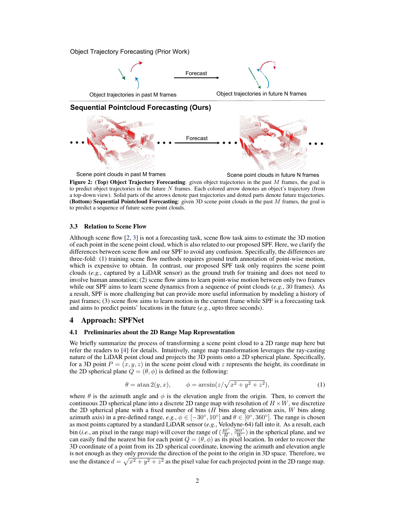Object Trajectory Forecasting (Prior Work)



Figure 2: (Top) Object Trajectory Forecasting: given object trajectories in the past  $M$  frames, the goal is to predict object trajectories in the future  $N$  frames. Each colored arrow denotes an object's trajectory (from a top-down view). Solid parts of the arrows denote past trajectories and dotted parts denote future trajectories. (Bottom) Sequential Pointcloud Forecasting: given 3D scene point clouds in the past  $M$  frames, the goal is to predict a sequence of future scene point clouds.

#### 3.3 Relation to Scene Flow

Although scene flow [2, 3] is not a forecasting task, scene flow task aims to estimate the 3D motion of each point in the scene point cloud, which is also related to our proposed SPF. Here, we clarify the differences between scene flow and our SPF to avoid any confusion. Specifically, the differences are three-fold: (1) training scene flow methods requires ground truth annotation of point-wise motion, which is expensive to obtain. In contrast, our proposed SPF task only requires the scene point clouds (*e.g.*, captured by a LiDAR sensor) as the ground truth for training and does not need to involve human annotation; (2) scene flow aims to learn point-wise motion between only two frames while our SPF aims to learn scene dynamics from a sequence of point clouds (*e.g.*, 30 frames). As a result, SPF is more challenging but can provide more useful information by modeling a history of past frames; (3) scene flow aims to learn motion in the current frame while SPF is a forecasting task and aims to predict points' locations in the future (*e.g.*, upto three seconds).

## 4 Approach: SPFNet

# 4.1 Preliminaries about the 2D Range Map Representation

We briefly summarize the process of transforming a scene point cloud to a 2D range map here but refer the readers to [4] for details. Intuitively, range map transformation leverages the ray-casting nature of the LiDAR point cloud and projects the 3D points onto a 2D spherical plane. Specifically, for a 3D point  $P = (x, y, z)$  in the scene point cloud with z represents the height, its coordinate in the 2D spherical plane  $Q = (\theta, \phi)$  is defined as the following:

$$
\theta = \operatorname{atan} 2(y, x), \qquad \phi = \arcsin\left(\frac{z}{\sqrt{x^2 + y^2 + z^2}}\right),\tag{1}
$$

where  $\theta$  is the azimuth angle and  $\phi$  is the elevation angle from the origin. Then, to convert the continuous 2D spherical plane into a discrete 2D range map with resolution of  $H \times W$ , we discretize the 2D spherical plane with a fixed number of bins  $(H$  bins along elevation axis,  $W$  bins along azimuth axis) in a pre-defined range,  $e.g., \phi \in [-30^\circ, 10^\circ]$  and  $\theta \in [0^\circ, 360^\circ]$ . The range is chosen as most points captured by a standard LiDAR sensor (*e.g.*, Velodyne-64) fall into it. As a result, each bin (*i.e.*, an pixel in the range map) will cover the range of  $(\frac{40°}{H}, \frac{360°}{W})$  in the spherical plane, and we can easily find the nearest bin for each point  $Q = (\theta, \phi)$  as its pixel location. In order to recover the 3D coordinate of a point from its 2D spherical coordinate, knowing the azimuth and elevation angle is not enough as they only provide the direction of the point to the origin in 3D space. Therefore, we use the distance  $d = \sqrt{x^2 + y^2 + z^2}$  as the pixel value for each projected point in the 2D range map.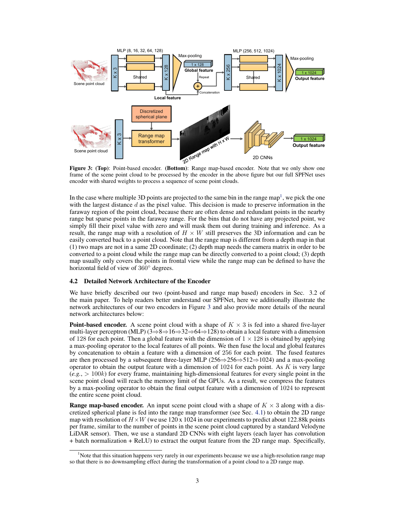

frame of the scene point cloud to be processed by the encoder in the above figure but our full SPFNet uses encoder with shared weights to process a sequence of scene point clouds.

In the case where multiple 3D points are projected to the same bin in the range map<sup>1</sup>, we pick the one with the largest distance  $d$  as the pixel value. This decision is made to preserve information in the faraway region of the point cloud, because there are often dense and redundant points in the nearby range but sparse points in the faraway range. For the bins that do not have any projected point, we simply fill their pixel value with zero and will mask them out during training and inference. As a result, the range map with a resolution of  $H \times W$  still preserves the 3D information and can be easily converted back to a point cloud. Note that the range map is different from a depth map in that (1) two maps are not in a same 2D coordinate; (2) depth map needs the camera matrix in order to be converted to a point cloud while the range map can be directly converted to a point cloud; (3) depth map usually only covers the points in frontal view while the range map can be defined to have the horizontal field of view of 360◦ degrees.

## 4.2 Detailed Network Architecture of the Encoder

We have briefly described our two (point-based and range map based) encoders in Sec. 3.2 of the main paper. To help readers better understand our SPFNet, here we additionally illustrate the network architectures of our two encoders in Figure 3 and also provide more details of the neural network architectures below:

**Point-based encoder.** A scene point cloud with a shape of  $K \times 3$  is fed into a shared five-layer multi-layer perceptron (MLP)  $(3 \Rightarrow 8 \Rightarrow 16 \Rightarrow 32 \Rightarrow 64 \Rightarrow 128)$  to obtain a local feature with a dimension of 128 for each point. Then a global feature with the dimension of  $1 \times 128$  is obtained by applying a max-pooling operator to the local features of all points. We then fuse the local and global features by concatenation to obtain a feature with a dimension of 256 for each point. The fused features are then processed by a subsequent three-layer MLP (256⇒256⇒512⇒1024) and a max-pooling operator to obtain the output feature with a dimension of  $1024$  for each point. As K is very large  $(e.g., > 100k)$  for every frame, maintaining high-dimensional features for every single point in the scene point cloud will reach the memory limit of the GPUs. As a result, we compress the features by a max-pooling operator to obtain the final output feature with a dimension of 1024 to represent the entire scene point cloud.

**Range map-based encoder.** An input scene point cloud with a shape of  $K \times 3$  along with a discretized spherical plane is fed into the range map transformer (see Sec. 4.1) to obtain the 2D range map with resolution of  $H \times W$  (we use 120 x 1024 in our experiments to predict about 122.88k points per frame, similar to the number of points in the scene point cloud captured by a standard Velodyne LiDAR sensor). Then, we use a standard 2D CNNs with eight layers (each layer has convolution + batch normalization + ReLU) to extract the output feature from the 2D range map. Specifically,

<sup>&</sup>lt;sup>1</sup>Note that this situation happens very rarely in our experiments because we use a high-resolution range map so that there is no downsampling effect during the transformation of a point cloud to a 2D range map.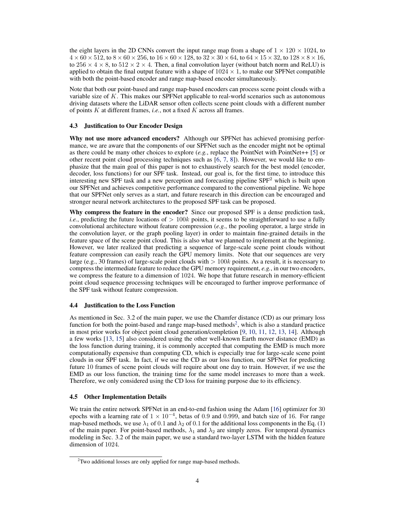the eight layers in the 2D CNNs convert the input range map from a shape of  $1 \times 120 \times 1024$ , to  $4 \times 60 \times 512$ , to  $8 \times 60 \times 256$ , to  $16 \times 60 \times 128$ , to  $32 \times 30 \times 64$ , to  $64 \times 15 \times 32$ , to  $128 \times 8 \times 16$ , to  $256 \times 4 \times 8$ , to  $512 \times 2 \times 4$ . Then, a final convolution layer (without batch norm and ReLU) is applied to obtain the final output feature with a shape of  $1024 \times 1$ , to make our SPFNet compatible with both the point-based encoder and range map-based encoder simultaneously.

Note that both our point-based and range map-based encoders can process scene point clouds with a variable size of K. This makes our SPFNet applicable to real-world scenarios such as autonomous driving datasets where the LiDAR sensor often collects scene point clouds with a different number of points K at different frames, *i.e.*, not a fixed K across all frames.

#### 4.3 Justification to Our Encoder Design

Why not use more advanced encoders? Although our SPFNet has achieved promising performance, we are aware that the components of our SPFNet such as the encoder might not be optimal as there could be many other choices to explore (*e.g.*, replace the PointNet with PointNet++ [5] or other recent point cloud processing techniques such as [6, 7, 8]). However, we would like to emphasize that the main goal of this paper is not to exhaustively search for the best model (encoder, decoder, loss functions) for our SPF task. Instead, our goal is, for the first time, to introduce this interesting new SPF task and a new perception and forecasting pipeline SPF<sup>2</sup> which is built upon our SPFNet and achieves competitive performance compared to the conventional pipeline. We hope that our SPFNet only serves as a start, and future research in this direction can be encouraged and stronger neural network architectures to the proposed SPF task can be proposed.

Why compress the feature in the encoder? Since our proposed SPF is a dense prediction task, *i.e.*, predicting the future locations of  $> 100k$  points, it seems to be straightforward to use a fully convolutional architecture without feature compression (*e.g.*, the pooling operator, a large stride in the convolution layer, or the graph pooling layer) in order to maintain fine-grained details in the feature space of the scene point cloud. This is also what we planned to implement at the beginning. However, we later realized that predicting a sequence of large-scale scene point clouds without feature compression can easily reach the GPU memory limits. Note that our sequences are very large (e.g., 30 frames) of large-scale point clouds with  $> 100k$  points. As a result, it is necessary to compress the intermediate feature to reduce the GPU memory requirement, *e.g.*, in our two encoders, we compress the feature to a dimension of 1024. We hope that future research in memory-efficient point cloud sequence processing techniques will be encouraged to further improve performance of the SPF task without feature compression.

#### 4.4 Justification to the Loss Function

As mentioned in Sec. 3.2 of the main paper, we use the Chamfer distance (CD) as our primary loss function for both the point-based and range map-based methods<sup>2</sup>, which is also a standard practice in most prior works for object point cloud generation/completion [9, 10, 11, 12, 13, 14]. Although a few works [13, 15] also considered using the other well-known Earth mover distance (EMD) as the loss function during training, it is commonly accepted that computing the EMD is much more computationally expensive than computing CD, which is especially true for large-scale scene point clouds in our SPF task. In fact, if we use the CD as our loss function, our SPFNet for predicting future 10 frames of scene point clouds will require about one day to train. However, if we use the EMD as our loss function, the training time for the same model increases to more than a week. Therefore, we only considered using the CD loss for training purpose due to its efficiency.

# 4.5 Other Implementation Details

We train the entire network SPFNet in an end-to-end fashion using the Adam [16] optimizer for 30 epochs with a learning rate of  $1 \times 10^{-4}$ , betas of 0.9 and 0.999, and batch size of 16. For range map-based methods, we use  $\lambda_1$  of 0.1 and  $\lambda_2$  of 0.1 for the additional loss components in the Eq. (1) of the main paper. For point-based methods,  $\lambda_1$  and  $\lambda_2$  are simply zeros. For temporal dynamics modeling in Sec. 3.2 of the main paper, we use a standard two-layer LSTM with the hidden feature dimension of 1024.

<sup>2</sup>Two additional losses are only applied for range map-based methods.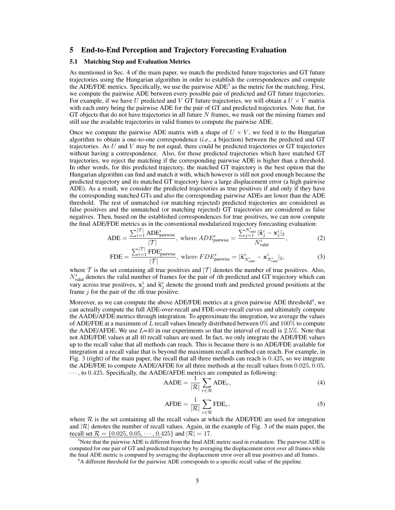# 5 End-to-End Perception and Trajectory Forecasting Evaluation

#### 5.1 Matching Step and Evaluation Metrics

As mentioned in Sec. 4 of the main paper, we match the predicted future trajectories and GT future trajectories using the Hungarian algorithm in order to establish the correspondences and compute the ADE/FDE metrics. Specifically, we use the pairwise  $ADE<sup>3</sup>$  as the metric for the matching. First, we compute the pairwise ADE between every possible pair of predicted and GT future trajectories. For example, if we have U predicted and V GT future trajectories, we will obtain a  $U \times V$  matrix with each entry being the pairwise ADE for the pair of GT and predicted trajectories. Note that, for GT objects that do not have trajectories in all future  $N$  frames, we mask out the missing frames and still use the available trajectories in valid frames to compute the pairwise ADE.

Once we compute the pairwise ADE matrix with a shape of  $U \times V$ , we feed it to the Hungarian algorithm to obtain a one-to-one correspondence (*i.e.*, a bijection) between the predicted and GT trajectories. As  $U$  and  $V$  may be not equal, there could be predicted trajectories or  $GT$  trajectories without having a correspondence. Also, for those predicted trajectories which have matched GT trajectories, we reject the matching if the corresponding pairwise ADE is higher than a threshold. In other words, for this predicted trajectory, the matched GT trajectory is the best option that the Hungarian algorithm can find and match it with, which however is still not good enough because the predicted trajectory and its matched GT trajectory have a large displacement error (a high pairwise ADE). As a result, we consider the predicted trajectories as true positives if and only if they have the corresponding matched GTs and also the corresponding pairwise ADEs are lower than the ADE threshold. The rest of unmatched (or matching rejected) predicted trajectories are considered as false positives and the unmatched (or matching rejected) GT trajectories are considered as false negatives. Then, based on the established correspondences for true positives, we can now compute the final ADE/FDE metrics as in the conventional modularized trajectory forecasting evaluation:

$$
ADE = \frac{\sum_{i=1}^{|\mathcal{T}|} ADE_{\text{pairwise}}^i}{|\mathcal{T}|}, \text{ where } ADE_{\text{pairwise}}^i = \frac{\sum_{j=1}^{N_{\text{valid}}^i} |\tilde{\mathbf{x}}_j^i - \mathbf{x}_j^i|_2}{N_{\text{valid}}^i}, \tag{2}
$$

$$
\text{FDE} = \frac{\sum_{i=1}^{|\mathcal{T}|} \text{FDE}_{\text{pairwise}}^i}{|\mathcal{T}|}, \text{ where } FDE_{\text{pairwise}}^i = |\widetilde{\mathbf{x}}_{N_{\text{valid}}^i}^i - \mathbf{x}_{N_{\text{valid}}^i}^i|_2,
$$
(3)

where  $T$  is the set containing all true positives and  $|T|$  denotes the number of true positives. Also,  $N_{\text{valid}}^i$  denotes the valid number of frames for the pair of *i*th predicted and GT trajectory which can vary across true positives,  $x_j^i$  and  $\tilde{x}_j^i$  denote the ground truth and predicted ground positions at the frame  $j$  for the pair of the  $i$ th true positive.

Moreover, as we can compute the above ADE/FDE metrics at a given pairwise ADE threshold<sup>4</sup>, we can actually compute the full ADE-over-recall and FDE-over-recall curves and ultimately compute the AADE/AFDE metrics through integration. To approximate the integration, we average the values of ADE/FDE at a maximum of L recall values linearly distributed between  $0\%$  and  $100\%$  to compute the AADE/AFDE. We use  $L=40$  in our experiments so that the interval of recall is 2.5%. Note that not ADE/FDE values at all 40 recall values are used. In fact, we only integrate the ADE/FDE values up to the recall value that all methods can reach. This is because there is no ADE/FDE available for integration at a recall value that is beyond the maximum recall a method can reach. For example, in Fig. 3 (right) of the main paper, the recall that all three methods can reach is 0.425, so we integrate the ADE/FDE to compute AADE/AFDE for all three methods at the recall values from 0.025, 0.05,  $\cdots$ , to 0.425. Specifically, the AADE/AFDE metrics are computed as following:

$$
AADE = \frac{1}{|\mathcal{R}|} \sum_{r \in \mathcal{R}} ADE_r,
$$
\n(4)

$$
\text{AFDE} = \frac{1}{|\mathcal{R}|} \sum_{r \in \mathcal{R}} \text{FDE}_r,\tag{5}
$$

where  $R$  is the set containing all the recall values at which the ADE/FDE are used for integration and  $|R|$  denotes the number of recall values. Again, in the example of Fig. 3 of the main paper, the recall set  $\mathcal{R} = \{0.025, 0.05, \dots, 0.425\}$  and  $|\mathcal{R}| = 17$ .

 $3$ Note that the pairwise ADE is different from the final ADE metric used in evaluation. The pairwise ADE is computed for one pair of GT and predicted trajectory by averaging the displacement error over all frames while the final ADE metric is computed by averaging the displacement error over all true positives and all frames.

<sup>&</sup>lt;sup>4</sup>A different threshold for the pairwise ADE corresponds to a specific recall value of the pipeline.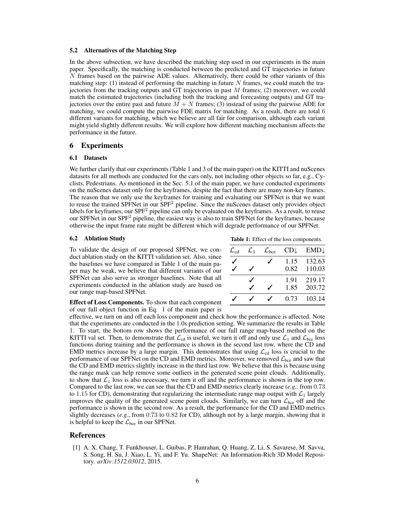#### 5.2 Alternatives of the Matching Step

In the above subsection, we have described the matching step used in our experiments in the main paper. Specifically, the matching is conducted between the predicted and GT trajectories in future N frames based on the pairwise ADE values. Alternatively, there could be other variants of this matching step: (1) instead of performing the matching in future  $N$  frames, we could match the trajectories from the tracking outputs and GT trajectories in past  $M$  frames; (2) moreover, we could match the estimated trajectories (including both the tracking and forecasting outputs) and GT trajectories over the entire past and future  $\overline{M} + N$  frames; (3) instead of using the pairwise ADE for matching, we could compute the pairwise FDE matrix for matching. As a result, there are total 6 different variants for matching, which we believe are all fair for comparison, although each variant might yield slightly different results. We will explore how different matching mechanism affects the performance in the future.

# 6 Experiments

#### 6.1 Datasets

We further clarify that our experiments (Table 1 and 3 of the main paper) on the KITTI and nuScenes datasets for all methods are conducted for the cars only, not including other objects so far, e.g., Cyclists, Pedestrians. As mentioned in the Sec. 5.1 of the main paper, we have conducted experiments on the nuScenes dataset only for the keyframes, despite the fact that there are many non-key frames. The reason that we only use the keyframes for training and evaluating our SPFNet is that we want to reuse the trained SPFNet in our SPF<sup>2</sup> pipeline. Since the nuScenes dataset only provides object labels for keyframes, our SPF<sup>2</sup> pipeline can only be evaluated on the keyframes. As a result, to reuse our SPFNet in our  $SPF^2$  pipeline, the easiest way is also to train SPFNet for the keyframes, because otherwise the input frame rate might be different which will degrade performance of our SPFNet.

**6.2** Ablation Study **Table 1:** Effect of the loss components.  $\mathcal{L}_{\text{cd}}$   $\mathcal{L}_1$   $\mathcal{L}_{\text{bce}}$   $CD \downarrow$   $EMD \downarrow$ 

 $\checkmark$  1.15 132.63  $\checkmark$   $\checkmark$  0.82 110.03

 $\sqrt{ }$   $\sqrt{ }$  0.73 103.14

✓ 1.91 219.17  $\checkmark$  1.85 203.72

To validate the design of our proposed SPFNet, we conduct ablation study on the KITTI validation set. Also, since the baselines we have compared in Table 1 of the main paper may be weak, we believe that different variants of our SPFNet can also serve as stronger baselines. Note that all experiments conducted in the ablation study are based on our range map-based SPFNet.

Effect of Loss Components. To show that each component of our full object function in Eq. 1 of the main paper is

effective, we turn on and off each loss component and check how the performance is affected. Note that the experiments are conducted in the 1.0s prediction setting. We summarize the results in Table 1. To start, the bottom row shows the performance of our full range map-based method on the KITTI val set. Then, to demonstrate that  $\mathcal{L}_{cd}$  is useful, we turn it off and only use  $\mathcal{L}_1$  and  $\mathcal{L}_{\text{bce}}$  loss functions during training and the performance is shown in the second last row, where the CD and EMD metrics increase by a large margin. This demonstrates that using  $\mathcal{L}_{cd}$  loss is crucial to the performance of our SPFNet on the CD and EMD metrics. Moreover, we removed  $\mathcal{L}_{\text{bce}}$  and saw that the CD and EMD metrics slightly increase in the third last row. We believe that this is because using the range mask can help remove some outliers in the generated scene point clouds. Additionally, to show that  $\mathcal{L}_1$  loss is also necessary, we turn it off and the performance is shown in the top row. Compared to the last row, we can see that the CD and EMD metrics clearly increase (*e.g.*, from 0.73 to 1.15 for CD), demonstrating that regularizing the intermediate range map output with  $\mathcal{L}_1$  largely improves the quality of the generated scene point clouds. Similarly, we can turn  $\mathcal{L}_{\text{bce}}$  off and the performance is shown in the second row. As a result, the performance for the CD and EMD metrics slightly decreases (*e.g.*, from 0.73 to 0.82 for CD), although not by a large margin, showing that it is helpful to keep the  $\mathcal{L}_{\text{bce}}$  in our SPFNet.

# References

[1] A. X. Chang, T. Funkhouser, L. Guibas, P. Hanrahan, Q. Huang, Z. Li, S. Savarese, M. Savva, S. Song, H. Su, J. Xiao, L. Yi, and F. Yu. ShapeNet: An Information-Rich 3D Model Repository. *arXiv:1512.03012*, 2015.